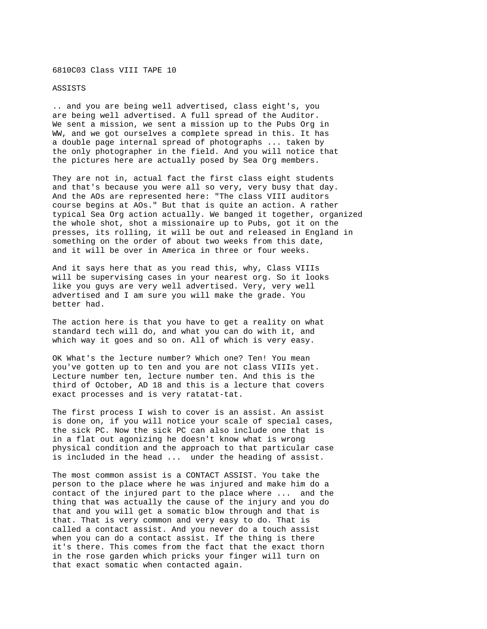## 6810C03 Class VIII TAPE 10

## ASSISTS

.. and you are being well advertised, class eight's, you are being well advertised. A full spread of the Auditor. We sent a mission, we sent a mission up to the Pubs Org in WW, and we got ourselves a complete spread in this. It has a double page internal spread of photographs ... taken by the only photographer in the field. And you will notice that the pictures here are actually posed by Sea Org members.

They are not in, actual fact the first class eight students and that's because you were all so very, very busy that day. And the AOs are represented here: "The class VIII auditors course begins at AOs." But that is quite an action. A rather typical Sea Org action actually. We banged it together, organized the whole shot, shot a missionaire up to Pubs, got it on the presses, its rolling, it will be out and released in England in something on the order of about two weeks from this date, and it will be over in America in three or four weeks.

And it says here that as you read this, why, Class VIIIs will be supervising cases in your nearest org. So it looks like you guys are very well advertised. Very, very well advertised and I am sure you will make the grade. You better had.

The action here is that you have to get a reality on what standard tech will do, and what you can do with it, and which way it goes and so on. All of which is very easy.

OK What's the lecture number? Which one? Ten! You mean you've gotten up to ten and you are not class VIIIs yet. Lecture number ten, lecture number ten. And this is the third of October, AD 18 and this is a lecture that covers exact processes and is very ratatat-tat.

The first process I wish to cover is an assist. An assist is done on, if you will notice your scale of special cases, the sick PC. Now the sick PC can also include one that is in a flat out agonizing he doesn't know what is wrong physical condition and the approach to that particular case is included in the head ... under the heading of assist.

The most common assist is a CONTACT ASSIST. You take the person to the place where he was injured and make him do a contact of the injured part to the place where ... and the thing that was actually the cause of the injury and you do that and you will get a somatic blow through and that is that. That is very common and very easy to do. That is called a contact assist. And you never do a touch assist when you can do a contact assist. If the thing is there it's there. This comes from the fact that the exact thorn in the rose garden which pricks your finger will turn on that exact somatic when contacted again.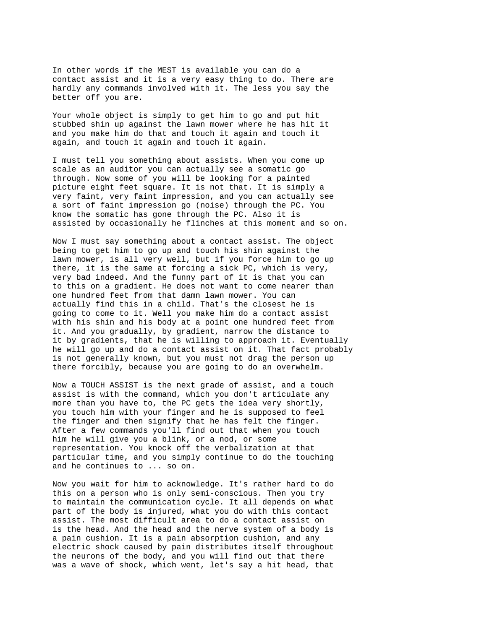In other words if the MEST is available you can do a contact assist and it is a very easy thing to do. There are hardly any commands involved with it. The less you say the better off you are.

Your whole object is simply to get him to go and put hit stubbed shin up against the lawn mower where he has hit it and you make him do that and touch it again and touch it again, and touch it again and touch it again.

I must tell you something about assists. When you come up scale as an auditor you can actually see a somatic go through. Now some of you will be looking for a painted picture eight feet square. It is not that. It is simply a very faint, very faint impression, and you can actually see a sort of faint impression go (noise) through the PC. You know the somatic has gone through the PC. Also it is assisted by occasionally he flinches at this moment and so on.

Now I must say something about a contact assist. The object being to get him to go up and touch his shin against the lawn mower, is all very well, but if you force him to go up there, it is the same at forcing a sick PC, which is very, very bad indeed. And the funny part of it is that you can to this on a gradient. He does not want to come nearer than one hundred feet from that damn lawn mower. You can actually find this in a child. That's the closest he is going to come to it. Well you make him do a contact assist with his shin and his body at a point one hundred feet from it. And you gradually, by gradient, narrow the distance to it by gradients, that he is willing to approach it. Eventually he will go up and do a contact assist on it. That fact probably is not generally known, but you must not drag the person up there forcibly, because you are going to do an overwhelm.

Now a TOUCH ASSIST is the next grade of assist, and a touch assist is with the command, which you don't articulate any more than you have to, the PC gets the idea very shortly, you touch him with your finger and he is supposed to feel the finger and then signify that he has felt the finger. After a few commands you'll find out that when you touch him he will give you a blink, or a nod, or some representation. You knock off the verbalization at that particular time, and you simply continue to do the touching and he continues to ... so on.

Now you wait for him to acknowledge. It's rather hard to do this on a person who is only semi-conscious. Then you try to maintain the communication cycle. It all depends on what part of the body is injured, what you do with this contact assist. The most difficult area to do a contact assist on is the head. And the head and the nerve system of a body is a pain cushion. It is a pain absorption cushion, and any electric shock caused by pain distributes itself throughout the neurons of the body, and you will find out that there was a wave of shock, which went, let's say a hit head, that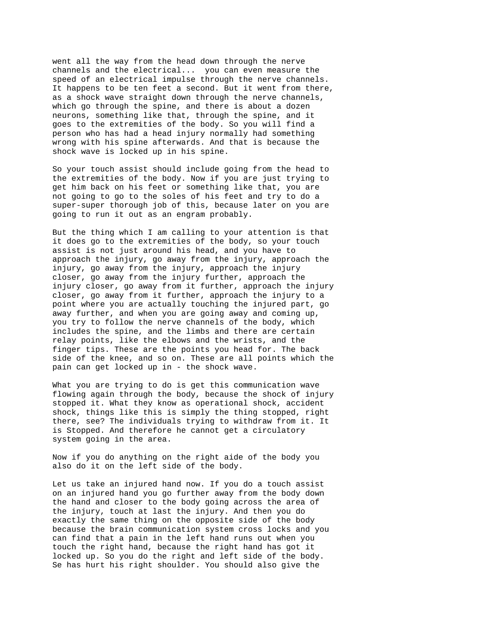went all the way from the head down through the nerve channels and the electrical... you can even measure the speed of an electrical impulse through the nerve channels. It happens to be ten feet a second. But it went from there, as a shock wave straight down through the nerve channels, which go through the spine, and there is about a dozen neurons, something like that, through the spine, and it goes to the extremities of the body. So you will find a person who has had a head injury normally had something wrong with his spine afterwards. And that is because the shock wave is locked up in his spine.

So your touch assist should include going from the head to the extremities of the body. Now if you are just trying to get him back on his feet or something like that, you are not going to go to the soles of his feet and try to do a super-super thorough job of this, because later on you are going to run it out as an engram probably.

But the thing which I am calling to your attention is that it does go to the extremities of the body, so your touch assist is not just around his head, and you have to approach the injury, go away from the injury, approach the injury, go away from the injury, approach the injury closer, go away from the injury further, approach the injury closer, go away from it further, approach the injury closer, go away from it further, approach the injury to a point where you are actually touching the injured part, go away further, and when you are going away and coming up, you try to follow the nerve channels of the body, which includes the spine, and the limbs and there are certain relay points, like the elbows and the wrists, and the finger tips. These are the points you head for. The back side of the knee, and so on. These are all points which the pain can get locked up in - the shock wave.

What you are trying to do is get this communication wave flowing again through the body, because the shock of injury stopped it. What they know as operational shock, accident shock, things like this is simply the thing stopped, right there, see? The individuals trying to withdraw from it. It is Stopped. And therefore he cannot get a circulatory system going in the area.

Now if you do anything on the right aide of the body you also do it on the left side of the body.

Let us take an injured hand now. If you do a touch assist on an injured hand you go further away from the body down the hand and closer to the body going across the area of the injury, touch at last the injury. And then you do exactly the same thing on the opposite side of the body because the brain communication system cross locks and you can find that a pain in the left hand runs out when you touch the right hand, because the right hand has got it locked up. So you do the right and left side of the body. Se has hurt his right shoulder. You should also give the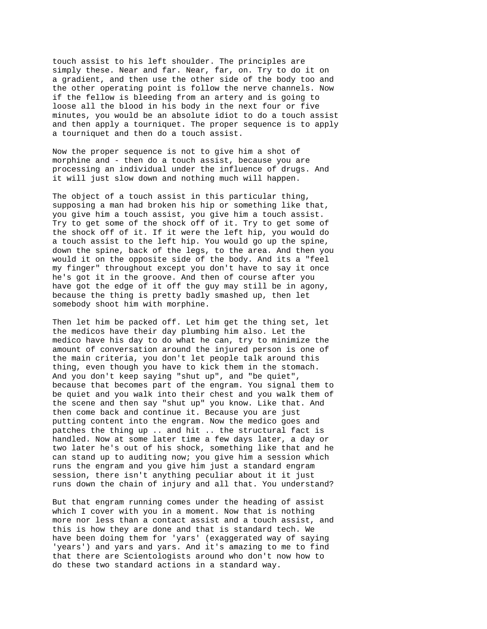touch assist to his left shoulder. The principles are simply these. Near and far. Near, far, on. Try to do it on a gradient, and then use the other side of the body too and the other operating point is follow the nerve channels. Now if the fellow is bleeding from an artery and is going to loose all the blood in his body in the next four or five minutes, you would be an absolute idiot to do a touch assist and then apply a tourniquet. The proper sequence is to apply a tourniquet and then do a touch assist.

Now the proper sequence is not to give him a shot of morphine and - then do a touch assist, because you are processing an individual under the influence of drugs. And it will just slow down and nothing much will happen.

The object of a touch assist in this particular thing, supposing a man had broken his hip or something like that, you give him a touch assist, you give him a touch assist. Try to get some of the shock off of it. Try to get some of the shock off of it. If it were the left hip, you would do a touch assist to the left hip. You would go up the spine, down the spine, back of the legs, to the area. And then you would it on the opposite side of the body. And its a "feel my finger" throughout except you don't have to say it once he's got it in the groove. And then of course after you have got the edge of it off the guy may still be in agony, because the thing is pretty badly smashed up, then let somebody shoot him with morphine.

Then let him be packed off. Let him get the thing set, let the medicos have their day plumbing him also. Let the medico have his day to do what he can, try to minimize the amount of conversation around the injured person is one of the main criteria, you don't let people talk around this thing, even though you have to kick them in the stomach. And you don't keep saying "shut up", and "be quiet", because that becomes part of the engram. You signal them to be quiet and you walk into their chest and you walk them of the scene and then say "shut up" you know. Like that. And then come back and continue it. Because you are just putting content into the engram. Now the medico goes and patches the thing up .. and hit .. the structural fact is handled. Now at some later time a few days later, a day or two later he's out of his shock, something like that and he can stand up to auditing now; you give him a session which runs the engram and you give him just a standard engram session, there isn't anything peculiar about it it just runs down the chain of injury and all that. You understand?

But that engram running comes under the heading of assist which I cover with you in a moment. Now that is nothing more nor less than a contact assist and a touch assist, and this is how they are done and that is standard tech. We have been doing them for 'yars' (exaggerated way of saying 'years') and yars and yars. And it's amazing to me to find that there are Scientologists around who don't now how to do these two standard actions in a standard way.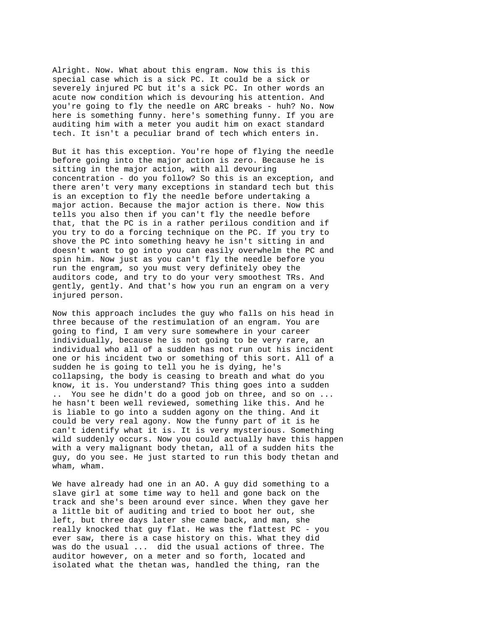Alright. Now. What about this engram. Now this is this special case which is a sick PC. It could be a sick or severely injured PC but it's a sick PC. In other words an acute now condition which is devouring his attention. And you're going to fly the needle on ARC breaks - huh? No. Now here is something funny. here's something funny. If you are auditing him with a meter you audit him on exact standard tech. It isn't a peculiar brand of tech which enters in.

But it has this exception. You're hope of flying the needle before going into the major action is zero. Because he is sitting in the major action, with all devouring concentration - do you follow? So this is an exception, and there aren't very many exceptions in standard tech but this is an exception to fly the needle before undertaking a major action. Because the major action is there. Now this tells you also then if you can't fly the needle before that, that the PC is in a rather perilous condition and if you try to do a forcing technique on the PC. If you try to shove the PC into something heavy he isn't sitting in and doesn't want to go into you can easily overwhelm the PC and spin him. Now just as you can't fly the needle before you run the engram, so you must very definitely obey the auditors code, and try to do your very smoothest TRs. And gently, gently. And that's how you run an engram on a very injured person.

Now this approach includes the guy who falls on his head in three because of the restimulation of an engram. You are going to find, I am very sure somewhere in your career individually, because he is not going to be very rare, an individual who all of a sudden has not run out his incident one or his incident two or something of this sort. All of a sudden he is going to tell you he is dying, he's collapsing, the body is ceasing to breath and what do you know, it is. You understand? This thing goes into a sudden .. You see he didn't do a good job on three, and so on ... he hasn't been well reviewed, something like this. And he is liable to go into a sudden agony on the thing. And it could be very real agony. Now the funny part of it is he can't identify what it is. It is very mysterious. Something wild suddenly occurs. Now you could actually have this happen with a very malignant body thetan, all of a sudden hits the guy, do you see. He just started to run this body thetan and wham, wham.

We have already had one in an AO. A guy did something to a slave girl at some time way to hell and gone back on the track and she's been around ever since. When they gave her a little bit of auditing and tried to boot her out, she left, but three days later she came back, and man, she really knocked that guy flat. He was the flattest PC - you ever saw, there is a case history on this. What they did was do the usual ... did the usual actions of three. The auditor however, on a meter and so forth, located and isolated what the thetan was, handled the thing, ran the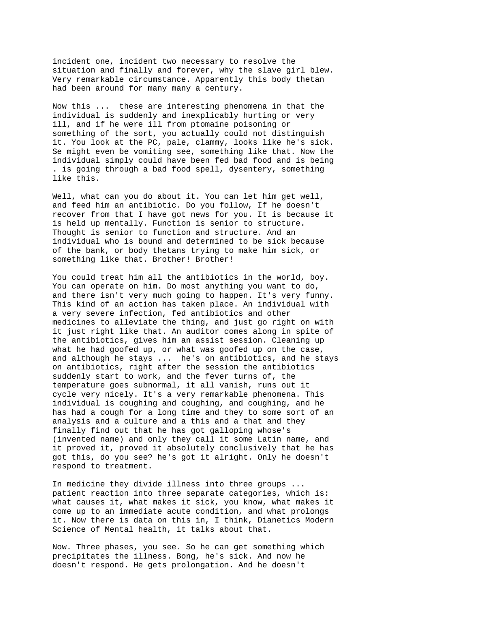incident one, incident two necessary to resolve the situation and finally and forever, why the slave girl blew. Very remarkable circumstance. Apparently this body thetan had been around for many many a century.

Now this ... these are interesting phenomena in that the individual is suddenly and inexplicably hurting or very ill, and if he were ill from ptomaine poisoning or something of the sort, you actually could not distinguish it. You look at the PC, pale, clammy, looks like he's sick. Se might even be vomiting see, something like that. Now the individual simply could have been fed bad food and is being . is going through a bad food spell, dysentery, something like this.

Well, what can you do about it. You can let him get well, and feed him an antibiotic. Do you follow, If he doesn't recover from that I have got news for you. It is because it is held up mentally. Function is senior to structure. Thought is senior to function and structure. And an individual who is bound and determined to be sick because of the bank, or body thetans trying to make him sick, or something like that. Brother! Brother!

You could treat him all the antibiotics in the world, boy. You can operate on him. Do most anything you want to do, and there isn't very much going to happen. It's very funny. This kind of an action has taken place. An individual with a very severe infection, fed antibiotics and other medicines to alleviate the thing, and just go right on with it just right like that. An auditor comes along in spite of the antibiotics, gives him an assist session. Cleaning up what he had goofed up, or what was goofed up on the case, and although he stays ... he's on antibiotics, and he stays on antibiotics, right after the session the antibiotics suddenly start to work, and the fever turns of, the temperature goes subnormal, it all vanish, runs out it cycle very nicely. It's a very remarkable phenomena. This individual is coughing and coughing, and coughing, and he has had a cough for a long time and they to some sort of an analysis and a culture and a this and a that and they finally find out that he has got galloping whose's (invented name) and only they call it some Latin name, and it proved it, proved it absolutely conclusively that he has got this, do you see? he's got it alright. Only he doesn't respond to treatment.

In medicine they divide illness into three groups ... patient reaction into three separate categories, which is: what causes it, what makes it sick, you know, what makes it come up to an immediate acute condition, and what prolongs it. Now there is data on this in, I think, Dianetics Modern Science of Mental health, it talks about that.

Now. Three phases, you see. So he can get something which precipitates the illness. Bong, he's sick. And now he doesn't respond. He gets prolongation. And he doesn't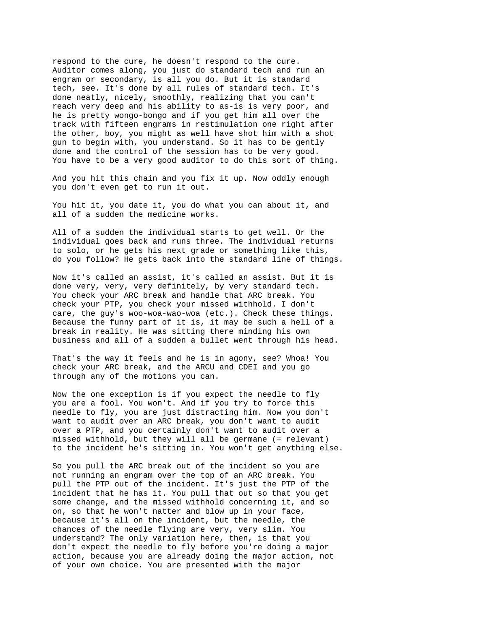respond to the cure, he doesn't respond to the cure. Auditor comes along, you just do standard tech and run an engram or secondary, is all you do. But it is standard tech, see. It's done by all rules of standard tech. It's done neatly, nicely, smoothly, realizing that you can't reach very deep and his ability to as-is is very poor, and he is pretty wongo-bongo and if you get him all over the track with fifteen engrams in restimulation one right after the other, boy, you might as well have shot him with a shot gun to begin with, you understand. So it has to be gently done and the control of the session has to be very good. You have to be a very good auditor to do this sort of thing.

And you hit this chain and you fix it up. Now oddly enough you don't even get to run it out.

You hit it, you date it, you do what you can about it, and all of a sudden the medicine works.

All of a sudden the individual starts to get well. Or the individual goes back and runs three. The individual returns to solo, or he gets his next grade or something like this, do you follow? He gets back into the standard line of things.

Now it's called an assist, it's called an assist. But it is done very, very, very definitely, by very standard tech. You check your ARC break and handle that ARC break. You check your PTP, you check your missed withhold. I don't care, the guy's woo-woa-wao-woa (etc.). Check these things. Because the funny part of it is, it may be such a hell of a break in reality. He was sitting there minding his own business and all of a sudden a bullet went through his head.

That's the way it feels and he is in agony, see? Whoa! You check your ARC break, and the ARCU and CDEI and you go through any of the motions you can.

Now the one exception is if you expect the needle to fly you are a fool. You won't. And if you try to force this needle to fly, you are just distracting him. Now you don't want to audit over an ARC break, you don't want to audit over a PTP, and you certainly don't want to audit over a missed withhold, but they will all be germane (= relevant) to the incident he's sitting in. You won't get anything else.

So you pull the ARC break out of the incident so you are not running an engram over the top of an ARC break. You pull the PTP out of the incident. It's just the PTP of the incident that he has it. You pull that out so that you get some change, and the missed withhold concerning it, and so on, so that he won't natter and blow up in your face, because it's all on the incident, but the needle, the chances of the needle flying are very, very slim. You understand? The only variation here, then, is that you don't expect the needle to fly before you're doing a major action, because you are already doing the major action, not of your own choice. You are presented with the major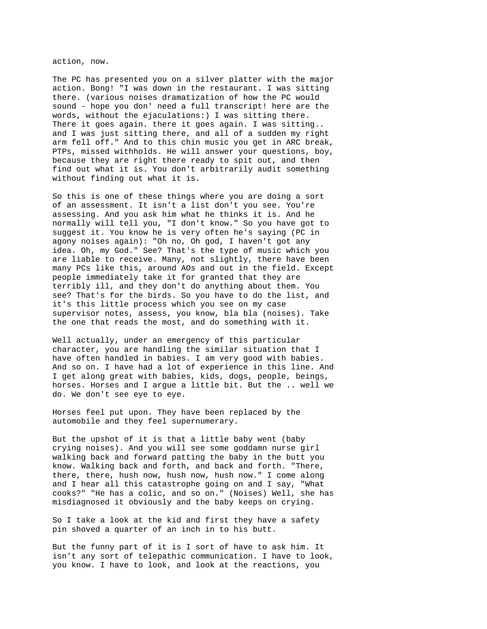action, now.

The PC has presented you on a silver platter with the major action. Bong! "I was down in the restaurant. I was sitting there. (various noises dramatization of how the PC would sound - hope you don' need a full transcript! here are the words, without the ejaculations:) I was sitting there. There it goes again. there it goes again. I was sitting.. and I was just sitting there, and all of a sudden my right arm fell off." And to this chin music you get in ARC break, PTPs, missed withholds. He will answer your questions, boy, because they are right there ready to spit out, and then find out what it is. You don't arbitrarily audit something without finding out what it is.

So this is one of these things where you are doing a sort of an assessment. It isn't a list don't you see. You're assessing. And you ask him what he thinks it is. And he normally will tell you, "I don't know." So you have got to suggest it. You know he is very often he's saying (PC in agony noises again): "Oh no, Oh god, I haven't got any idea. Oh, my God." See? That's the type of music which you are liable to receive. Many, not slightly, there have been many PCs like this, around AOs and out in the field. Except people immediately take it for granted that they are terribly ill, and they don't do anything about them. You see? That's for the birds. So you have to do the list, and it's this little process which you see on my case supervisor notes, assess, you know, bla bla (noises). Take the one that reads the most, and do something with it.

Well actually, under an emergency of this particular character, you are handling the similar situation that I have often handled in babies. I am very good with babies. And so on. I have had a lot of experience in this line. And I get along great with babies, kids, dogs, people, beings, horses. Horses and I argue a little bit. But the .. well we do. We don't see eye to eye.

Horses feel put upon. They have been replaced by the automobile and they feel supernumerary.

But the upshot of it is that a little baby went (baby crying noises). And you will see some goddamn nurse girl walking back and forward patting the baby in the butt you know. Walking back and forth, and back and forth. "There, there, there, hush now, hush now, hush now." I come along and I hear all this catastrophe going on and I say, "What cooks?" "He has a colic, and so on." (Noises) Well, she has misdiagnosed it obviously and the baby keeps on crying.

So I take a look at the kid and first they have a safety pin shoved a quarter of an inch in to his butt.

But the funny part of it is I sort of have to ask him. It isn't any sort of telepathic communication. I have to look, you know. I have to look, and look at the reactions, you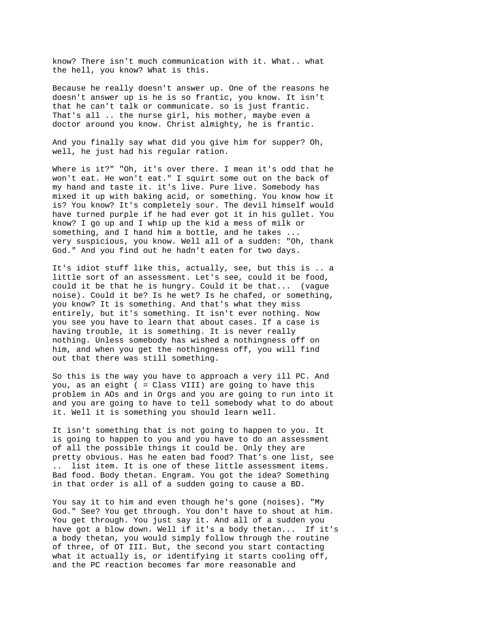know? There isn't much communication with it. What.. what the hell, you know? What is this.

Because he really doesn't answer up. One of the reasons he doesn't answer up is he is so frantic, you know. It isn't that he can't talk or communicate. so is just frantic. That's all .. the nurse girl, his mother, maybe even a doctor around you know. Christ almighty, he is frantic.

And you finally say what did you give him for supper? Oh, well, he just had his regular ration.

Where is it?" "Oh, it's over there. I mean it's odd that he won't eat. He won't eat." I squirt some out on the back of my hand and taste it. it's live. Pure live. Somebody has mixed it up with baking acid, or something. You know how it is? You know? It's completely sour. The devil himself would have turned purple if he had ever got it in his gullet. You know? I go up and I whip up the kid a mess of milk or something, and I hand him a bottle, and he takes ... very suspicious, you know. Well all of a sudden: "Oh, thank God." And you find out he hadn't eaten for two days.

It's idiot stuff like this, actually, see, but this is .. a little sort of an assessment. Let's see, could it be food, could it be that he is hungry. Could it be that... (vague noise). Could it be? Is he wet? Is he chafed, or something, you know? It is something. And that's what they miss entirely, but it's something. It isn't ever nothing. Now you see you have to learn that about cases. If a case is having trouble, it is something. It is never really nothing. Unless somebody has wished a nothingness off on him, and when you get the nothingness off, you will find out that there was still something.

So this is the way you have to approach a very ill PC. And you, as an eight ( = Class VIII) are going to have this problem in AOs and in Orgs and you are going to run into it and you are going to have to tell somebody what to do about it. Well it is something you should learn well.

It isn't something that is not going to happen to you. It is going to happen to you and you have to do an assessment of all the possible things it could be. Only they are pretty obvious. Has he eaten bad food? That's one list, see .. list item. It is one of these little assessment items. Bad food. Body thetan. Engram. You got the idea? Something in that order is all of a sudden going to cause a BD.

You say it to him and even though he's gone (noises). "My God." See? You get through. You don't have to shout at him. You get through. You just say it. And all of a sudden you have got a blow down. Well if it's a body thetan... If it's a body thetan, you would simply follow through the routine of three, of OT III. But, the second you start contacting what it actually is, or identifying it starts cooling off, and the PC reaction becomes far more reasonable and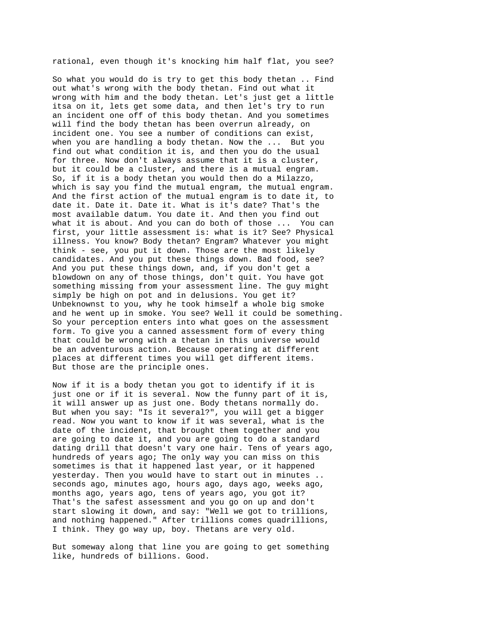rational, even though it's knocking him half flat, you see?

So what you would do is try to get this body thetan .. Find out what's wrong with the body thetan. Find out what it wrong with him and the body thetan. Let's just get a little itsa on it, lets get some data, and then let's try to run an incident one off of this body thetan. And you sometimes will find the body thetan has been overrun already, on incident one. You see a number of conditions can exist, when you are handling a body thetan. Now the ... But you find out what condition it is, and then you do the usual for three. Now don't always assume that it is a cluster, but it could be a cluster, and there is a mutual engram. So, if it is a body thetan you would then do a Milazzo, which is say you find the mutual engram, the mutual engram. And the first action of the mutual engram is to date it, to date it. Date it. Date it. What is it's date? That's the most available datum. You date it. And then you find out what it is about. And you can do both of those ... You can first, your little assessment is: what is it? See? Physical illness. You know? Body thetan? Engram? Whatever you might think - see, you put it down. Those are the most likely candidates. And you put these things down. Bad food, see? And you put these things down, and, if you don't get a blowdown on any of those things, don't quit. You have got something missing from your assessment line. The guy might simply be high on pot and in delusions. You get it? Unbeknownst to you, why he took himself a whole big smoke and he went up in smoke. You see? Well it could be something. So your perception enters into what goes on the assessment form. To give you a canned assessment form of every thing that could be wrong with a thetan in this universe would be an adventurous action. Because operating at different places at different times you will get different items. But those are the principle ones.

Now if it is a body thetan you got to identify if it is just one or if it is several. Now the funny part of it is, it will answer up as just one. Body thetans normally do. But when you say: "Is it several?", you will get a bigger read. Now you want to know if it was several, what is the date of the incident, that brought them together and you are going to date it, and you are going to do a standard dating drill that doesn't vary one hair. Tens of years ago, hundreds of years ago; The only way you can miss on this sometimes is that it happened last year, or it happened yesterday. Then you would have to start out in minutes .. seconds ago, minutes ago, hours ago, days ago, weeks ago, months ago, years ago, tens of years ago, you got it? That's the safest assessment and you go on up and don't start slowing it down, and say: "Well we got to trillions, and nothing happened." After trillions comes quadrillions, I think. They go way up, boy. Thetans are very old.

But someway along that line you are going to get something like, hundreds of billions. Good.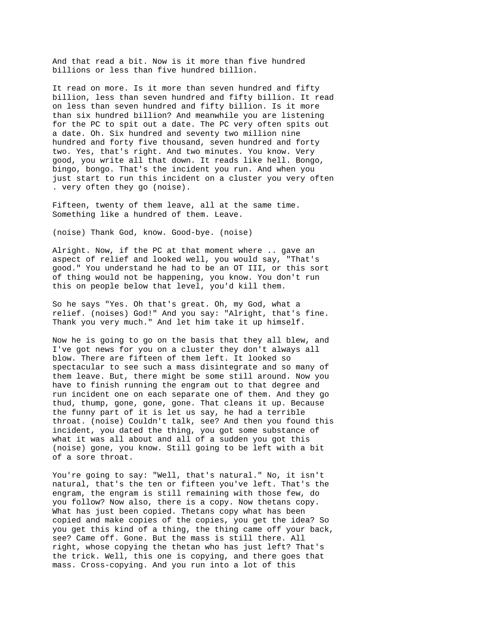And that read a bit. Now is it more than five hundred billions or less than five hundred billion.

It read on more. Is it more than seven hundred and fifty billion, less than seven hundred and fifty billion. It read on less than seven hundred and fifty billion. Is it more than six hundred billion? And meanwhile you are listening for the PC to spit out a date. The PC very often spits out a date. Oh. Six hundred and seventy two million nine hundred and forty five thousand, seven hundred and forty two. Yes, that's right. And two minutes. You know. Very good, you write all that down. It reads like hell. Bongo, bingo, bongo. That's the incident you run. And when you just start to run this incident on a cluster you very often . very often they go (noise).

Fifteen, twenty of them leave, all at the same time. Something like a hundred of them. Leave.

(noise) Thank God, know. Good-bye. (noise)

Alright. Now, if the PC at that moment where .. gave an aspect of relief and looked well, you would say, "That's good." You understand he had to be an OT III, or this sort of thing would not be happening, you know. You don't run this on people below that level, you'd kill them.

So he says "Yes. Oh that's great. Oh, my God, what a relief. (noises) God!" And you say: "Alright, that's fine. Thank you very much." And let him take it up himself.

Now he is going to go on the basis that they all blew, and I've got news for you on a cluster they don't always all blow. There are fifteen of them left. It looked so spectacular to see such a mass disintegrate and so many of them leave. But, there might be some still around. Now you have to finish running the engram out to that degree and run incident one on each separate one of them. And they go thud, thump, gone, gone, gone. That cleans it up. Because the funny part of it is let us say, he had a terrible throat. (noise) Couldn't talk, see? And then you found this incident, you dated the thing, you got some substance of what it was all about and all of a sudden you got this (noise) gone, you know. Still going to be left with a bit of a sore throat.

You're going to say: "Well, that's natural." No, it isn't natural, that's the ten or fifteen you've left. That's the engram, the engram is still remaining with those few, do you follow? Now also, there is a copy. Now thetans copy. What has just been copied. Thetans copy what has been copied and make copies of the copies, you get the idea? So you get this kind of a thing, the thing came off your back, see? Came off. Gone. But the mass is still there. All right, whose copying the thetan who has just left? That's the trick. Well, this one is copying, and there goes that mass. Cross-copying. And you run into a lot of this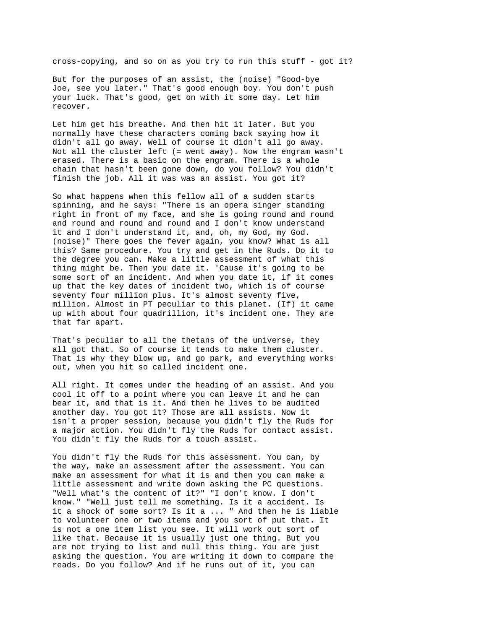cross-copying, and so on as you try to run this stuff - got it?

But for the purposes of an assist, the (noise) "Good-bye Joe, see you later." That's good enough boy. You don't push your luck. That's good, get on with it some day. Let him recover.

Let him get his breathe. And then hit it later. But you normally have these characters coming back saying how it didn't all go away. Well of course it didn't all go away. Not all the cluster left (= went away). Now the engram wasn't erased. There is a basic on the engram. There is a whole chain that hasn't been gone down, do you follow? You didn't finish the job. All it was was an assist. You got it?

So what happens when this fellow all of a sudden starts spinning, and he says: "There is an opera singer standing right in front of my face, and she is going round and round and round and round and round and I don't know understand it and I don't understand it, and, oh, my God, my God. (noise)" There goes the fever again, you know? What is all this? Same procedure. You try and get in the Ruds. Do it to the degree you can. Make a little assessment of what this thing might be. Then you date it. 'Cause it's going to be some sort of an incident. And when you date it, if it comes up that the key dates of incident two, which is of course seventy four million plus. It's almost seventy five, million. Almost in PT peculiar to this planet. (If) it came up with about four quadrillion, it's incident one. They are that far apart.

That's peculiar to all the thetans of the universe, they all got that. So of course it tends to make them cluster. That is why they blow up, and go park, and everything works out, when you hit so called incident one.

All right. It comes under the heading of an assist. And you cool it off to a point where you can leave it and he can bear it, and that is it. And then he lives to be audited another day. You got it? Those are all assists. Now it isn't a proper session, because you didn't fly the Ruds for a major action. You didn't fly the Ruds for contact assist. You didn't fly the Ruds for a touch assist.

You didn't fly the Ruds for this assessment. You can, by the way, make an assessment after the assessment. You can make an assessment for what it is and then you can make a little assessment and write down asking the PC questions. "Well what's the content of it?" "I don't know. I don't know." "Well just tell me something. Is it a accident. Is it a shock of some sort? Is it a ... " And then he is liable to volunteer one or two items and you sort of put that. It is not a one item list you see. It will work out sort of like that. Because it is usually just one thing. But you are not trying to list and null this thing. You are just asking the question. You are writing it down to compare the reads. Do you follow? And if he runs out of it, you can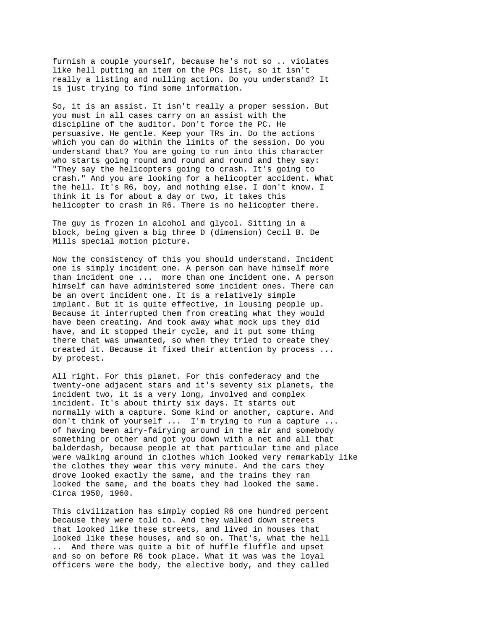furnish a couple yourself, because he's not so .. violates like hell putting an item on the PCs list, so it isn't really a listing and nulling action. Do you understand? It is just trying to find some information.

So, it is an assist. It isn't really a proper session. But you must in all cases carry on an assist with the discipline of the auditor. Don't force the PC. He persuasive. He gentle. Keep your TRs in. Do the actions which you can do within the limits of the session. Do you understand that? You are going to run into this character who starts going round and round and round and they say: "They say the helicopters going to crash. It's going to crash." And you are looking for a helicopter accident. What the hell. It's R6, boy, and nothing else. I don't know. I think it is for about a day or two, it takes this helicopter to crash in R6. There is no helicopter there.

The guy is frozen in alcohol and glycol. Sitting in a block, being given a big three D (dimension) Cecil B. De Mills special motion picture.

Now the consistency of this you should understand. Incident one is simply incident one. A person can have himself more than incident one ... more than one incident one. A person himself can have administered some incident ones. There can be an overt incident one. It is a relatively simple implant. But it is quite effective, in lousing people up. Because it interrupted them from creating what they would have been creating. And took away what mock ups they did have, and it stopped their cycle, and it put some thing there that was unwanted, so when they tried to create they created it. Because it fixed their attention by process ... by protest.

All right. For this planet. For this confederacy and the twenty-one adjacent stars and it's seventy six planets, the incident two, it is a very long, involved and complex incident. It's about thirty six days. It starts out normally with a capture. Some kind or another, capture. And don't think of yourself ... I'm trying to run a capture ... of having been airy-fairying around in the air and somebody something or other and got you down with a net and all that balderdash, because people at that particular time and place were walking around in clothes which looked very remarkably like the clothes they wear this very minute. And the cars they drove looked exactly the same, and the trains they ran looked the same, and the boats they had looked the same. Circa 1950, 1960.

This civilization has simply copied R6 one hundred percent because they were told to. And they walked down streets that looked like these streets, and lived in houses that looked like these houses, and so on. That's, what the hell .. And there was quite a bit of huffle fluffle and upset and so on before R6 took place. What it was was the loyal officers were the body, the elective body, and they called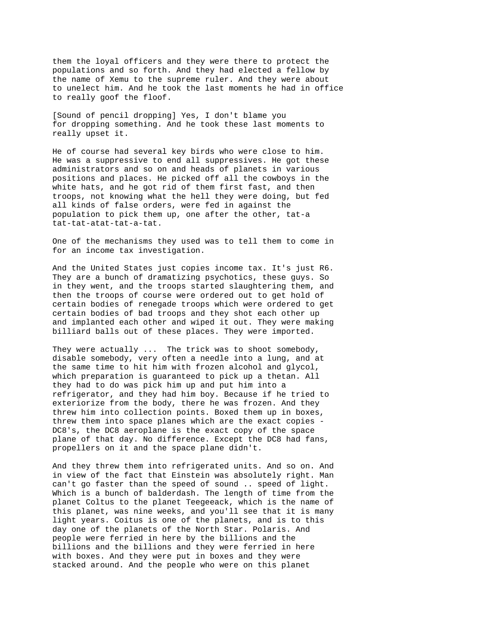them the loyal officers and they were there to protect the populations and so forth. And they had elected a fellow by the name of Xemu to the supreme ruler. And they were about to unelect him. And he took the last moments he had in office to really goof the floof.

[Sound of pencil dropping] Yes, I don't blame you for dropping something. And he took these last moments to really upset it.

He of course had several key birds who were close to him. He was a suppressive to end all suppressives. He got these administrators and so on and heads of planets in various positions and places. He picked off all the cowboys in the white hats, and he got rid of them first fast, and then troops, not knowing what the hell they were doing, but fed all kinds of false orders, were fed in against the population to pick them up, one after the other, tat-a tat-tat-atat-tat-a-tat.

One of the mechanisms they used was to tell them to come in for an income tax investigation.

And the United States just copies income tax. It's just R6. They are a bunch of dramatizing psychotics, these guys. So in they went, and the troops started slaughtering them, and then the troops of course were ordered out to get hold of certain bodies of renegade troops which were ordered to get certain bodies of bad troops and they shot each other up and implanted each other and wiped it out. They were making billiard balls out of these places. They were imported.

They were actually ... The trick was to shoot somebody, disable somebody, very often a needle into a lung, and at the same time to hit him with frozen alcohol and glycol, which preparation is guaranteed to pick up a thetan. All they had to do was pick him up and put him into a refrigerator, and they had him boy. Because if he tried to exteriorize from the body, there he was frozen. And they threw him into collection points. Boxed them up in boxes, threw them into space planes which are the exact copies - DC8's, the DC8 aeroplane is the exact copy of the space plane of that day. No difference. Except the DC8 had fans, propellers on it and the space plane didn't.

And they threw them into refrigerated units. And so on. And in view of the fact that Einstein was absolutely right. Man can't go faster than the speed of sound .. speed of light. Which is a bunch of balderdash. The length of time from the planet Coltus to the planet Teegeeack, which is the name of this planet, was nine weeks, and you'll see that it is many light years. Coitus is one of the planets, and is to this day one of the planets of the North Star. Polaris. And people were ferried in here by the billions and the billions and the billions and they were ferried in here with boxes. And they were put in boxes and they were stacked around. And the people who were on this planet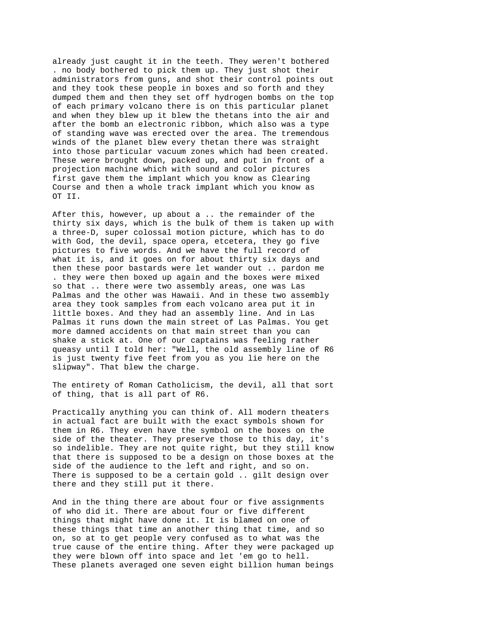already just caught it in the teeth. They weren't bothered . no body bothered to pick them up. They just shot their administrators from guns, and shot their control points out and they took these people in boxes and so forth and they dumped them and then they set off hydrogen bombs on the top of each primary volcano there is on this particular planet and when they blew up it blew the thetans into the air and after the bomb an electronic ribbon, which also was a type of standing wave was erected over the area. The tremendous winds of the planet blew every thetan there was straight into those particular vacuum zones which had been created. These were brought down, packed up, and put in front of a projection machine which with sound and color pictures first gave them the implant which you know as Clearing Course and then a whole track implant which you know as OT II.

After this, however, up about a .. the remainder of the thirty six days, which is the bulk of them is taken up with a three-D, super colossal motion picture, which has to do with God, the devil, space opera, etcetera, they go five pictures to five words. And we have the full record of what it is, and it goes on for about thirty six days and then these poor bastards were let wander out .. pardon me . they were then boxed up again and the boxes were mixed so that .. there were two assembly areas, one was Las Palmas and the other was Hawaii. And in these two assembly area they took samples from each volcano area put it in little boxes. And they had an assembly line. And in Las Palmas it runs down the main street of Las Palmas. You get more damned accidents on that main street than you can shake a stick at. One of our captains was feeling rather queasy until I told her: "Well, the old assembly line of R6 is just twenty five feet from you as you lie here on the slipway". That blew the charge.

The entirety of Roman Catholicism, the devil, all that sort of thing, that is all part of R6.

Practically anything you can think of. All modern theaters in actual fact are built with the exact symbols shown for them in R6. They even have the symbol on the boxes on the side of the theater. They preserve those to this day, it's so indelible. They are not quite right, but they still know that there is supposed to be a design on those boxes at the side of the audience to the left and right, and so on. There is supposed to be a certain gold .. gilt design over there and they still put it there.

And in the thing there are about four or five assignments of who did it. There are about four or five different things that might have done it. It is blamed on one of these things that time an another thing that time, and so on, so at to get people very confused as to what was the true cause of the entire thing. After they were packaged up they were blown off into space and let 'em go to hell. These planets averaged one seven eight billion human beings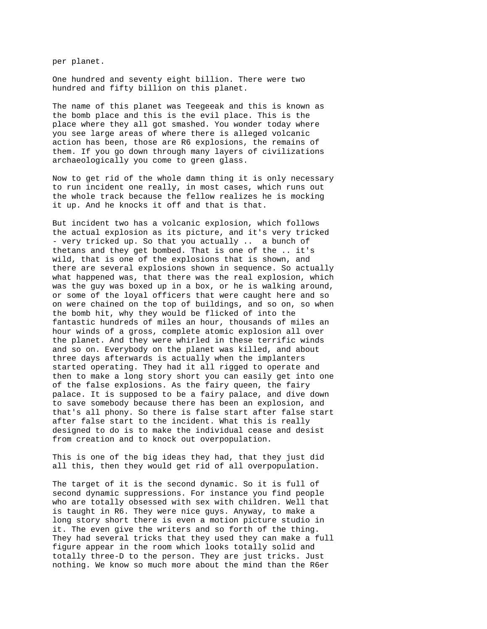per planet.

One hundred and seventy eight billion. There were two hundred and fifty billion on this planet.

The name of this planet was Teegeeak and this is known as the bomb place and this is the evil place. This is the place where they all got smashed. You wonder today where you see large areas of where there is alleged volcanic action has been, those are R6 explosions, the remains of them. If you go down through many layers of civilizations archaeologically you come to green glass.

Now to get rid of the whole damn thing it is only necessary to run incident one really, in most cases, which runs out the whole track because the fellow realizes he is mocking it up. And he knocks it off and that is that.

But incident two has a volcanic explosion, which follows the actual explosion as its picture, and it's very tricked - very tricked up. So that you actually .. a bunch of thetans and they get bombed. That is one of the .. it's wild, that is one of the explosions that is shown, and there are several explosions shown in sequence. So actually what happened was, that there was the real explosion, which was the guy was boxed up in a box, or he is walking around, or some of the loyal officers that were caught here and so on were chained on the top of buildings, and so on, so when the bomb hit, why they would be flicked of into the fantastic hundreds of miles an hour, thousands of miles an hour winds of a gross, complete atomic explosion all over the planet. And they were whirled in these terrific winds and so on. Everybody on the planet was killed, and about three days afterwards is actually when the implanters started operating. They had it all rigged to operate and then to make a long story short you can easily get into one of the false explosions. As the fairy queen, the fairy palace. It is supposed to be a fairy palace, and dive down to save somebody because there has been an explosion, and that's all phony. So there is false start after false start after false start to the incident. What this is really designed to do is to make the individual cease and desist from creation and to knock out overpopulation.

This is one of the big ideas they had, that they just did all this, then they would get rid of all overpopulation.

The target of it is the second dynamic. So it is full of second dynamic suppressions. For instance you find people who are totally obsessed with sex with children. Well that is taught in R6. They were nice guys. Anyway, to make a long story short there is even a motion picture studio in it. The even give the writers and so forth of the thing. They had several tricks that they used they can make a full figure appear in the room which looks totally solid and totally three-D to the person. They are just tricks. Just nothing. We know so much more about the mind than the R6er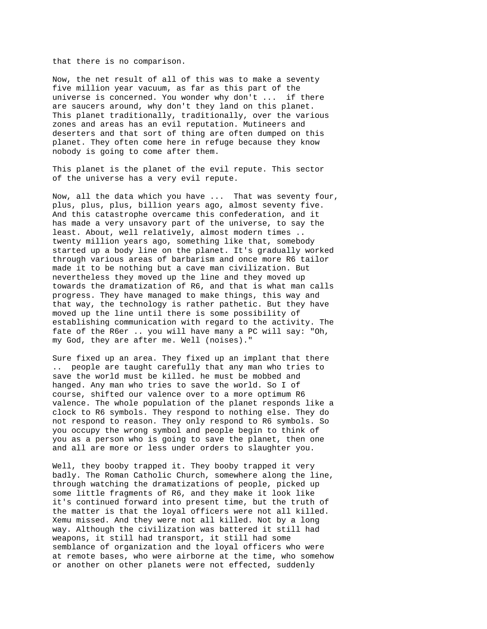that there is no comparison.

Now, the net result of all of this was to make a seventy five million year vacuum, as far as this part of the universe is concerned. You wonder why don't ... if there are saucers around, why don't they land on this planet. This planet traditionally, traditionally, over the various zones and areas has an evil reputation. Mutineers and deserters and that sort of thing are often dumped on this planet. They often come here in refuge because they know nobody is going to come after them.

This planet is the planet of the evil repute. This sector of the universe has a very evil repute.

Now, all the data which you have ... That was seventy four, plus, plus, plus, billion years ago, almost seventy five. And this catastrophe overcame this confederation, and it has made a very unsavory part of the universe, to say the least. About, well relatively, almost modern times .. twenty million years ago, something like that, somebody started up a body line on the planet. It's gradually worked through various areas of barbarism and once more R6 tailor made it to be nothing but a cave man civilization. But nevertheless they moved up the line and they moved up towards the dramatization of R6, and that is what man calls progress. They have managed to make things, this way and that way, the technology is rather pathetic. But they have moved up the line until there is some possibility of establishing communication with regard to the activity. The fate of the R6er .. you will have many a PC will say: "Oh, my God, they are after me. Well (noises)."

Sure fixed up an area. They fixed up an implant that there .. people are taught carefully that any man who tries to save the world must be killed. he must be mobbed and hanged. Any man who tries to save the world. So I of course, shifted our valence over to a more optimum R6 valence. The whole population of the planet responds like a clock to R6 symbols. They respond to nothing else. They do not respond to reason. They only respond to R6 symbols. So you occupy the wrong symbol and people begin to think of you as a person who is going to save the planet, then one and all are more or less under orders to slaughter you.

Well, they booby trapped it. They booby trapped it very badly. The Roman Catholic Church, somewhere along the line, through watching the dramatizations of people, picked up some little fragments of R6, and they make it look like it's continued forward into present time, but the truth of the matter is that the loyal officers were not all killed. Xemu missed. And they were not all killed. Not by a long way. Although the civilization was battered it still had weapons, it still had transport, it still had some semblance of organization and the loyal officers who were at remote bases, who were airborne at the time, who somehow or another on other planets were not effected, suddenly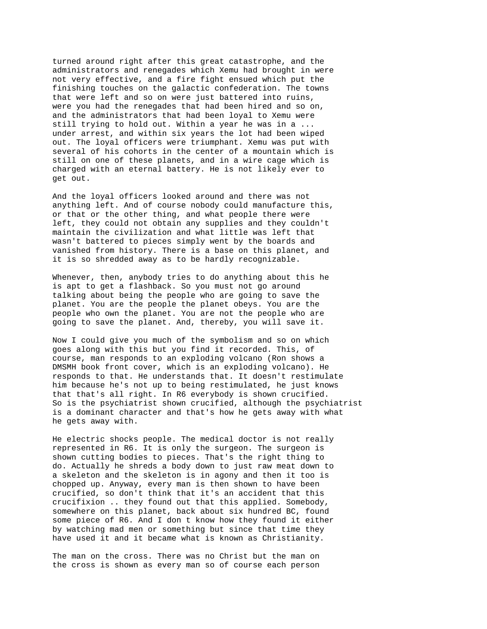turned around right after this great catastrophe, and the administrators and renegades which Xemu had brought in were not very effective, and a fire fight ensued which put the finishing touches on the galactic confederation. The towns that were left and so on were just battered into ruins, were you had the renegades that had been hired and so on, and the administrators that had been loyal to Xemu were still trying to hold out. Within a year he was in a ... under arrest, and within six years the lot had been wiped out. The loyal officers were triumphant. Xemu was put with several of his cohorts in the center of a mountain which is still on one of these planets, and in a wire cage which is charged with an eternal battery. He is not likely ever to get out.

And the loyal officers looked around and there was not anything left. And of course nobody could manufacture this, or that or the other thing, and what people there were left, they could not obtain any supplies and they couldn't maintain the civilization and what little was left that wasn't battered to pieces simply went by the boards and vanished from history. There is a base on this planet, and it is so shredded away as to be hardly recognizable.

Whenever, then, anybody tries to do anything about this he is apt to get a flashback. So you must not go around talking about being the people who are going to save the planet. You are the people the planet obeys. You are the people who own the planet. You are not the people who are going to save the planet. And, thereby, you will save it.

Now I could give you much of the symbolism and so on which goes along with this but you find it recorded. This, of course, man responds to an exploding volcano (Ron shows a DMSMH book front cover, which is an exploding volcano). He responds to that. He understands that. It doesn't restimulate him because he's not up to being restimulated, he just knows that that's all right. In R6 everybody is shown crucified. So is the psychiatrist shown crucified, although the psychiatrist is a dominant character and that's how he gets away with what he gets away with.

He electric shocks people. The medical doctor is not really represented in R6. It is only the surgeon. The surgeon is shown cutting bodies to pieces. That's the right thing to do. Actually he shreds a body down to just raw meat down to a skeleton and the skeleton is in agony and then it too is chopped up. Anyway, every man is then shown to have been crucified, so don't think that it's an accident that this crucifixion .. they found out that this applied. Somebody, somewhere on this planet, back about six hundred BC, found some piece of R6. And I don t know how they found it either by watching mad men or something but since that time they have used it and it became what is known as Christianity.

The man on the cross. There was no Christ but the man on the cross is shown as every man so of course each person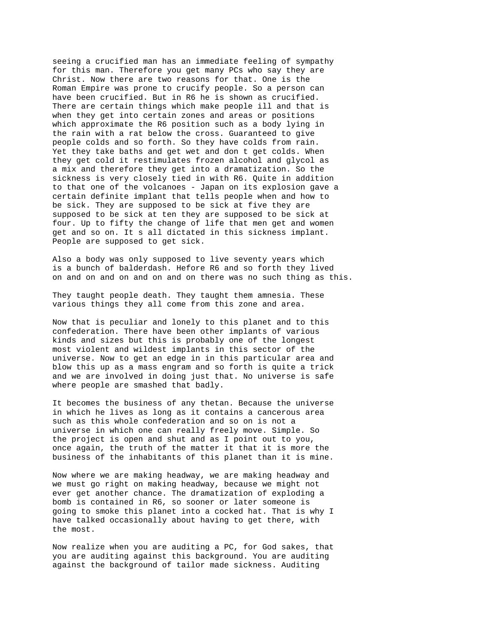seeing a crucified man has an immediate feeling of sympathy for this man. Therefore you get many PCs who say they are Christ. Now there are two reasons for that. One is the Roman Empire was prone to crucify people. So a person can have been crucified. But in R6 he is shown as crucified. There are certain things which make people ill and that is when they get into certain zones and areas or positions which approximate the R6 position such as a body lying in the rain with a rat below the cross. Guaranteed to give people colds and so forth. So they have colds from rain. Yet they take baths and get wet and don t get colds. When they get cold it restimulates frozen alcohol and glycol as a mix and therefore they get into a dramatization. So the sickness is very closely tied in with R6. Quite in addition to that one of the volcanoes - Japan on its explosion gave a certain definite implant that tells people when and how to be sick. They are supposed to be sick at five they are supposed to be sick at ten they are supposed to be sick at four. Up to fifty the change of life that men get and women get and so on. It s all dictated in this sickness implant. People are supposed to get sick.

Also a body was only supposed to live seventy years which is a bunch of balderdash. Hefore R6 and so forth they lived on and on and on and on and on there was no such thing as this.

They taught people death. They taught them amnesia. These various things they all come from this zone and area.

Now that is peculiar and lonely to this planet and to this confederation. There have been other implants of various kinds and sizes but this is probably one of the longest most violent and wildest implants in this sector of the universe. Now to get an edge in in this particular area and blow this up as a mass engram and so forth is quite a trick and we are involved in doing just that. No universe is safe where people are smashed that badly.

It becomes the business of any thetan. Because the universe in which he lives as long as it contains a cancerous area such as this whole confederation and so on is not a universe in which one can really freely move. Simple. So the project is open and shut and as I point out to you, once again, the truth of the matter it that it is more the business of the inhabitants of this planet than it is mine.

Now where we are making headway, we are making headway and we must go right on making headway, because we might not ever get another chance. The dramatization of exploding a bomb is contained in R6, so sooner or later someone is going to smoke this planet into a cocked hat. That is why I have talked occasionally about having to get there, with the most.

Now realize when you are auditing a PC, for God sakes, that you are auditing against this background. You are auditing against the background of tailor made sickness. Auditing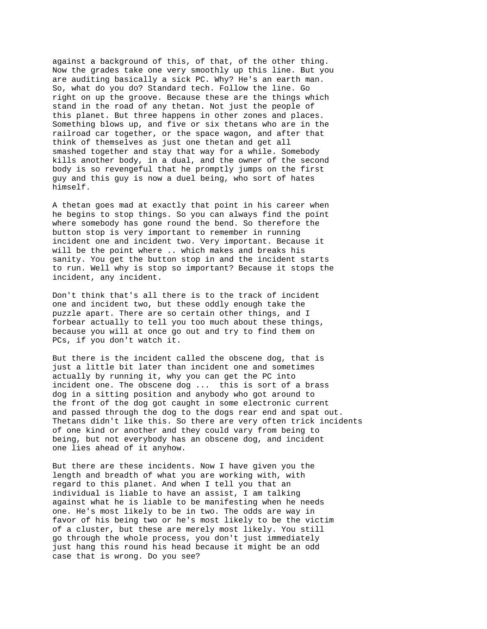against a background of this, of that, of the other thing. Now the grades take one very smoothly up this line. But you are auditing basically a sick PC. Why? He's an earth man. So, what do you do? Standard tech. Follow the line. Go right on up the groove. Because these are the things which stand in the road of any thetan. Not just the people of this planet. But three happens in other zones and places. Something blows up, and five or six thetans who are in the railroad car together, or the space wagon, and after that think of themselves as just one thetan and get all smashed together and stay that way for a while. Somebody kills another body, in a dual, and the owner of the second body is so revengeful that he promptly jumps on the first guy and this guy is now a duel being, who sort of hates himself.

A thetan goes mad at exactly that point in his career when he begins to stop things. So you can always find the point where somebody has gone round the bend. So therefore the button stop is very important to remember in running incident one and incident two. Very important. Because it will be the point where .. which makes and breaks his sanity. You get the button stop in and the incident starts to run. Well why is stop so important? Because it stops the incident, any incident.

Don't think that's all there is to the track of incident one and incident two, but these oddly enough take the puzzle apart. There are so certain other things, and I forbear actually to tell you too much about these things, because you will at once go out and try to find them on PCs, if you don't watch it.

But there is the incident called the obscene dog, that is just a little bit later than incident one and sometimes actually by running it, why you can get the PC into incident one. The obscene dog ... this is sort of a brass dog in a sitting position and anybody who got around to the front of the dog got caught in some electronic current and passed through the dog to the dogs rear end and spat out. Thetans didn't like this. So there are very often trick incidents of one kind or another and they could vary from being to being, but not everybody has an obscene dog, and incident one lies ahead of it anyhow.

But there are these incidents. Now I have given you the length and breadth of what you are working with, with regard to this planet. And when I tell you that an individual is liable to have an assist, I am talking against what he is liable to be manifesting when he needs one. He's most likely to be in two. The odds are way in favor of his being two or he's most likely to be the victim of a cluster, but these are merely most likely. You still go through the whole process, you don't just immediately just hang this round his head because it might be an odd case that is wrong. Do you see?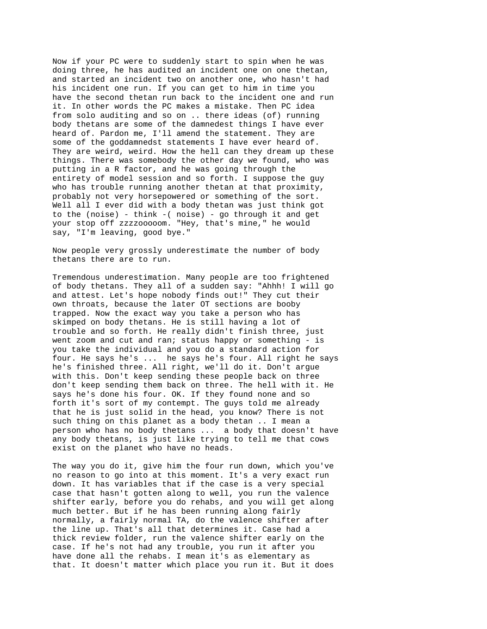Now if your PC were to suddenly start to spin when he was doing three, he has audited an incident one on one thetan, and started an incident two on another one, who hasn't had his incident one run. If you can get to him in time you have the second thetan run back to the incident one and run it. In other words the PC makes a mistake. Then PC idea from solo auditing and so on .. there ideas (of) running body thetans are some of the damnedest things I have ever heard of. Pardon me, I'll amend the statement. They are some of the goddamnedst statements I have ever heard of. They are weird, weird. How the hell can they dream up these things. There was somebody the other day we found, who was putting in a R factor, and he was going through the entirety of model session and so forth. I suppose the guy who has trouble running another thetan at that proximity, probably not very horsepowered or something of the sort. Well all I ever did with a body thetan was just think got to the (noise) - think -( noise) - go through it and get your stop off zzzzooooom. "Hey, that's mine," he would say, "I'm leaving, good bye."

Now people very grossly underestimate the number of body thetans there are to run.

Tremendous underestimation. Many people are too frightened of body thetans. They all of a sudden say: "Ahhh! I will go and attest. Let's hope nobody finds out!" They cut their own throats, because the later OT sections are booby trapped. Now the exact way you take a person who has skimped on body thetans. He is still having a lot of trouble and so forth. He really didn't finish three, just went zoom and cut and ran; status happy or something - is you take the individual and you do a standard action for four. He says he's ... he says he's four. All right he says he's finished three. All right, we'll do it. Don't argue with this. Don't keep sending these people back on three don't keep sending them back on three. The hell with it. He says he's done his four. OK. If they found none and so forth it's sort of my contempt. The guys told me already that he is just solid in the head, you know? There is not such thing on this planet as a body thetan .. I mean a person who has no body thetans ... a body that doesn't have any body thetans, is just like trying to tell me that cows exist on the planet who have no heads.

The way you do it, give him the four run down, which you've no reason to go into at this moment. It's a very exact run down. It has variables that if the case is a very special case that hasn't gotten along to well, you run the valence shifter early, before you do rehabs, and you will get along much better. But if he has been running along fairly normally, a fairly normal TA, do the valence shifter after the line up. That's all that determines it. Case had a thick review folder, run the valence shifter early on the case. If he's not had any trouble, you run it after you have done all the rehabs. I mean it's as elementary as that. It doesn't matter which place you run it. But it does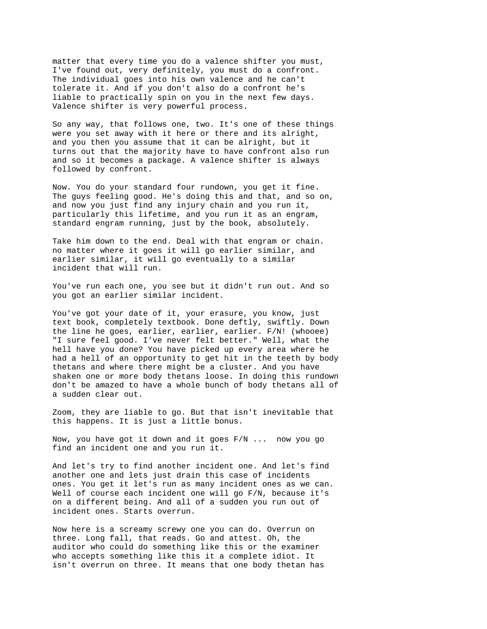matter that every time you do a valence shifter you must, I've found out, very definitely, you must do a confront. The individual goes into his own valence and he can't tolerate it. And if you don't also do a confront he's liable to practically spin on you in the next few days. Valence shifter is very powerful process.

So any way, that follows one, two. It's one of these things were you set away with it here or there and its alright, and you then you assume that it can be alright, but it turns out that the majority have to have confront also run and so it becomes a package. A valence shifter is always followed by confront.

Now. You do your standard four rundown, you get it fine. The guys feeling good. He's doing this and that, and so on, and now you just find any injury chain and you run it, particularly this lifetime, and you run it as an engram, standard engram running, just by the book, absolutely.

Take him down to the end. Deal with that engram or chain. no matter where it goes it will go earlier similar, and earlier similar, it will go eventually to a similar incident that will run.

You've run each one, you see but it didn't run out. And so you got an earlier similar incident.

You've got your date of it, your erasure, you know, just text book, completely textbook. Done deftly, swiftly. Down the line he goes, earlier, earlier, earlier. F/N! (whooee) "I sure feel good. I've never felt better." Well, what the hell have you done? You have picked up every area where he had a hell of an opportunity to get hit in the teeth by body thetans and where there might be a cluster. And you have shaken one or more body thetans loose. In doing this rundown don't be amazed to have a whole bunch of body thetans all of a sudden clear out.

Zoom, they are liable to go. But that isn't inevitable that this happens. It is just a little bonus.

Now, you have got it down and it goes F/N ... now you go find an incident one and you run it.

And let's try to find another incident one. And let's find another one and lets just drain this case of incidents ones. You get it let's run as many incident ones as we can. Well of course each incident one will go F/N, because it's on a different being. And all of a sudden you run out of incident ones. Starts overrun.

Now here is a screamy screwy one you can do. Overrun on three. Long fall, that reads. Go and attest. Oh, the auditor who could do something like this or the examiner who accepts something like this it a complete idiot. It isn't overrun on three. It means that one body thetan has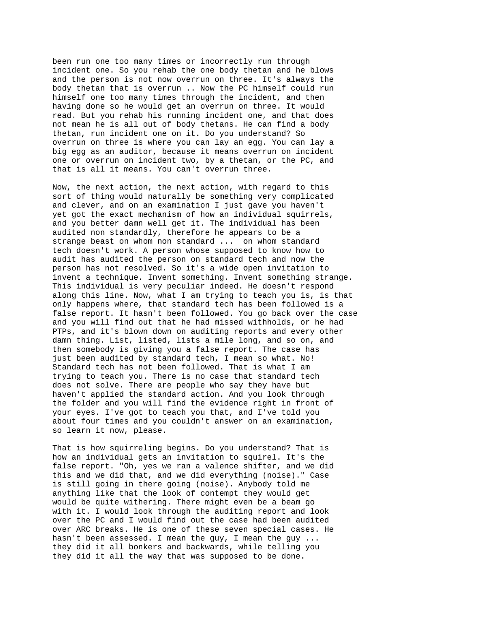been run one too many times or incorrectly run through incident one. So you rehab the one body thetan and he blows and the person is not now overrun on three. It's always the body thetan that is overrun .. Now the PC himself could run himself one too many times through the incident, and then having done so he would get an overrun on three. It would read. But you rehab his running incident one, and that does not mean he is all out of body thetans. He can find a body thetan, run incident one on it. Do you understand? So overrun on three is where you can lay an egg. You can lay a big egg as an auditor, because it means overrun on incident one or overrun on incident two, by a thetan, or the PC, and that is all it means. You can't overrun three.

Now, the next action, the next action, with regard to this sort of thing would naturally be something very complicated and clever, and on an examination I just gave you haven't yet got the exact mechanism of how an individual squirrels, and you better damn well get it. The individual has been audited non standardly, therefore he appears to be a strange beast on whom non standard ... on whom standard tech doesn't work. A person whose supposed to know how to audit has audited the person on standard tech and now the person has not resolved. So it's a wide open invitation to invent a technique. Invent something. Invent something strange. This individual is very peculiar indeed. He doesn't respond along this line. Now, what I am trying to teach you is, is that only happens where, that standard tech has been followed is a false report. It hasn't been followed. You go back over the case and you will find out that he had missed withholds, or he had PTPs, and it's blown down on auditing reports and every other damn thing. List, listed, lists a mile long, and so on, and then somebody is giving you a false report. The case has just been audited by standard tech, I mean so what. No! Standard tech has not been followed. That is what I am trying to teach you. There is no case that standard tech does not solve. There are people who say they have but haven't applied the standard action. And you look through the folder and you will find the evidence right in front of your eyes. I've got to teach you that, and I've told you about four times and you couldn't answer on an examination, so learn it now, please.

That is how squirreling begins. Do you understand? That is how an individual gets an invitation to squirel. It's the false report. "Oh, yes we ran a valence shifter, and we did this and we did that, and we did everything (noise)." Case is still going in there going (noise). Anybody told me anything like that the look of contempt they would get would be quite withering. There might even be a beam go with it. I would look through the auditing report and look over the PC and I would find out the case had been audited over ARC breaks. He is one of these seven special cases. He hasn't been assessed. I mean the guy, I mean the guy ... they did it all bonkers and backwards, while telling you they did it all the way that was supposed to be done.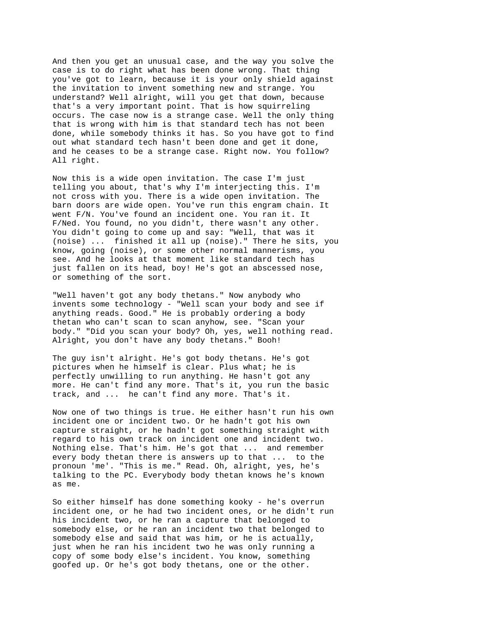And then you get an unusual case, and the way you solve the case is to do right what has been done wrong. That thing you've got to learn, because it is your only shield against the invitation to invent something new and strange. You understand? Well alright, will you get that down, because that's a very important point. That is how squirreling occurs. The case now is a strange case. Well the only thing that is wrong with him is that standard tech has not been done, while somebody thinks it has. So you have got to find out what standard tech hasn't been done and get it done, and he ceases to be a strange case. Right now. You follow? All right.

Now this is a wide open invitation. The case I'm just telling you about, that's why I'm interjecting this. I'm not cross with you. There is a wide open invitation. The barn doors are wide open. You've run this engram chain. It went F/N. You've found an incident one. You ran it. It F/Ned. You found, no you didn't, there wasn't any other. You didn't going to come up and say: "Well, that was it (noise) ... finished it all up (noise)." There he sits, you know, going (noise), or some other normal mannerisms, you see. And he looks at that moment like standard tech has just fallen on its head, boy! He's got an abscessed nose, or something of the sort.

"Well haven't got any body thetans." Now anybody who invents some technology - "Well scan your body and see if anything reads. Good." He is probably ordering a body thetan who can't scan to scan anyhow, see. "Scan your body." "Did you scan your body? Oh, yes, well nothing read. Alright, you don't have any body thetans." Booh!

The guy isn't alright. He's got body thetans. He's got pictures when he himself is clear. Plus what; he is perfectly unwilling to run anything. He hasn't got any more. He can't find any more. That's it, you run the basic track, and ... he can't find any more. That's it.

Now one of two things is true. He either hasn't run his own incident one or incident two. Or he hadn't got his own capture straight, or he hadn't got something straight with regard to his own track on incident one and incident two. Nothing else. That's him. He's got that ... and remember every body thetan there is answers up to that ... to the pronoun 'me'. "This is me." Read. Oh, alright, yes, he's talking to the PC. Everybody body thetan knows he's known as me.

So either himself has done something kooky - he's overrun incident one, or he had two incident ones, or he didn't run his incident two, or he ran a capture that belonged to somebody else, or he ran an incident two that belonged to somebody else and said that was him, or he is actually, just when he ran his incident two he was only running a copy of some body else's incident. You know, something goofed up. Or he's got body thetans, one or the other.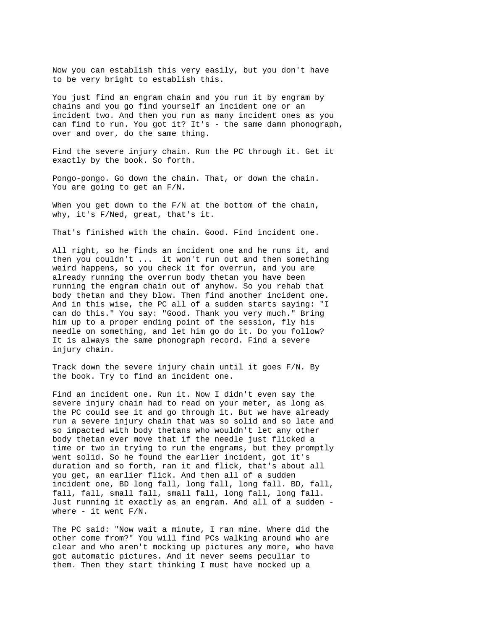Now you can establish this very easily, but you don't have to be very bright to establish this.

You just find an engram chain and you run it by engram by chains and you go find yourself an incident one or an incident two. And then you run as many incident ones as you can find to run. You got it? It's - the same damn phonograph, over and over, do the same thing.

Find the severe injury chain. Run the PC through it. Get it exactly by the book. So forth.

Pongo-pongo. Go down the chain. That, or down the chain. You are going to get an F/N.

When you get down to the F/N at the bottom of the chain, why, it's F/Ned, great, that's it.

That's finished with the chain. Good. Find incident one.

All right, so he finds an incident one and he runs it, and then you couldn't ... it won't run out and then something weird happens, so you check it for overrun, and you are already running the overrun body thetan you have been running the engram chain out of anyhow. So you rehab that body thetan and they blow. Then find another incident one. And in this wise, the PC all of a sudden starts saying: "I can do this." You say: "Good. Thank you very much." Bring him up to a proper ending point of the session, fly his needle on something, and let him go do it. Do you follow? It is always the same phonograph record. Find a severe injury chain.

Track down the severe injury chain until it goes F/N. By the book. Try to find an incident one.

Find an incident one. Run it. Now I didn't even say the severe injury chain had to read on your meter, as long as the PC could see it and go through it. But we have already run a severe injury chain that was so solid and so late and so impacted with body thetans who wouldn't let any other body thetan ever move that if the needle just flicked a time or two in trying to run the engrams, but they promptly went solid. So he found the earlier incident, got it's duration and so forth, ran it and flick, that's about all you get, an earlier flick. And then all of a sudden incident one, BD long fall, long fall, long fall. BD, fall, fall, fall, small fall, small fall, long fall, long fall. Just running it exactly as an engram. And all of a sudden where - it went  $F/N$ .

The PC said: "Now wait a minute, I ran mine. Where did the other come from?" You will find PCs walking around who are clear and who aren't mocking up pictures any more, who have got automatic pictures. And it never seems peculiar to them. Then they start thinking I must have mocked up a